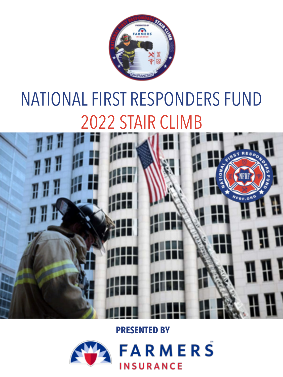

## NATIONAL FIRST RESPONDERS FUND 2022 STAIR CLIMB



**PRESENTED BY**

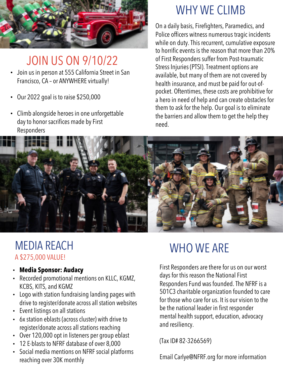

JOIN US ON 9/10/22

- Join us in person at 555 California Street in San Francisco, CA – or ANYWHERE virtually!
- Our 2022 goal is to raise \$250,000
- Climb alongside heroes in one unforgettable day to honor sacrifices made by First Responders

## WHY WE CLIMB

On a daily basis, Firefighters, Paramedics, and Police officers witness numerous tragic incidents while on duty. This recurrent, cumulative exposure to horrific events is the reason that more than 20% of First Responders suffer from Post-traumatic Stress Injuries (PTSI). Treatment options are available, but many of them are not covered by health insurance, and must be paid for out-ofpocket. Oftentimes, these costs are prohibitive for a hero in need of help and can create obstacles for them to ask for the help. Our goal is to eliminate the barriers and allow them to get the help they need.



## MEDIA REACH A \$275,000 VALUE!

- **Media Sponsor: Audacy**
- Recorded promotional mentions on KLLC, KGMZ, KCBS, KITS, and KGMZ
- Logo with station fundraising landing pages with drive to register/donate across all station websites
- Event listings on all stations
- 6x station eblasts (across cluster) with drive to register/donate across all stations reaching
- Over 120,000 opt in listeners per group eblast
- 12 E-blasts to NFRF database of over 8,000
- Social media mentions on NFRF social platforms reaching over 30K monthly

## WHO WE ARE

First Responders are there for us on our worst days for this reason the National First Responders Fund was founded. The NFRF is a 501C3 charitable organization founded to care for those who care for us. It is our vision to the be the national leader in first responder mental health support, education, advocacy and resiliency.

(Tax ID# 82-3266569)

Email Carlye@NFRF.org for more information